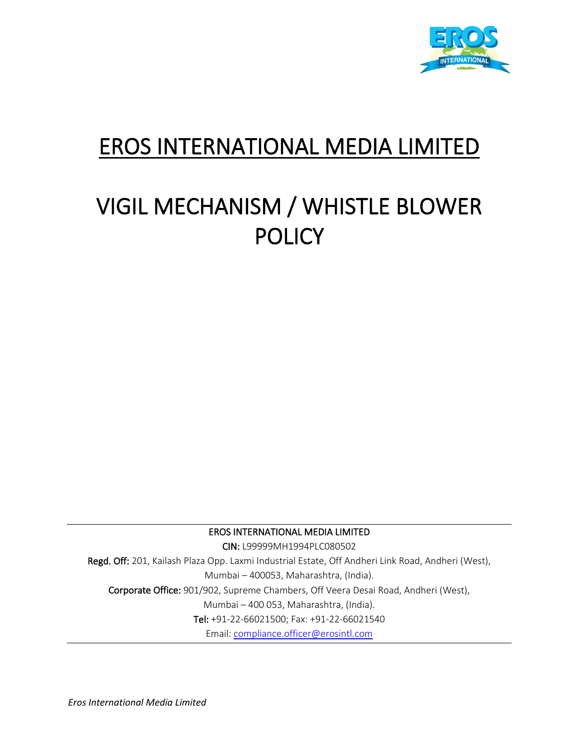

## EROS INTERNATIONAL MEDIA LIMITED

# VIGIL MECHANISM / WHISTLE BLOWER POLICY

EROS INTERNATIONAL MEDIA LIMITED

CIN: L99999MH1994PLC080502 Regd. Off: 201, Kailash Plaza Opp. Laxmi Industrial Estate, Off Andheri Link Road, Andheri (West), Mumbai – 400053, Maharashtra, (India). Corporate Office: 901/902, Supreme Chambers, Off Veera Desai Road, Andheri (West), Mumbai – 400 053, Maharashtra, (India). Tel: +91-22-66021500; Fax: +91-22-66021540 Email: [compliance.officer@erosintl.com](mailto:compliance.officer@erosintl.com)

*Eros International Media Limited*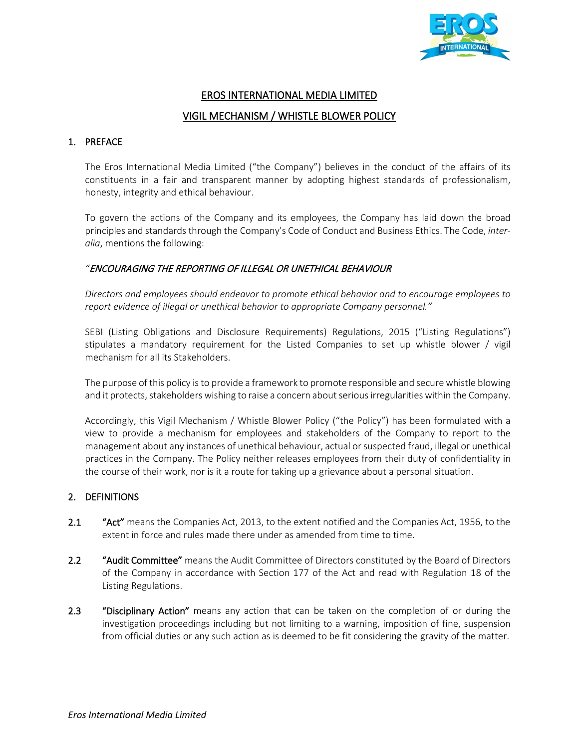

### EROS INTERNATIONAL MEDIA LIMITED VIGIL MECHANISM / WHISTLE BLOWER POLICY

#### 1. PREFACE

The Eros International Media Limited ("the Company") believes in the conduct of the affairs of its constituents in a fair and transparent manner by adopting highest standards of professionalism, honesty, integrity and ethical behaviour.

To govern the actions of the Company and its employees, the Company has laid down the broad principles and standards through the Company's Code of Conduct and Business Ethics. The Code, *interalia*, mentions the following:

#### *"*ENCOURAGING THE REPORTING OF ILLEGAL OR UNETHICAL BEHAVIOUR

*Directors and employees should endeavor to promote ethical behavior and to encourage employees to report evidence of illegal or unethical behavior to appropriate Company personnel."* 

SEBI (Listing Obligations and Disclosure Requirements) Regulations, 2015 ("Listing Regulations") stipulates a mandatory requirement for the Listed Companies to set up whistle blower / vigil mechanism for all its Stakeholders.

The purpose of this policy is to provide a framework to promote responsible and secure whistle blowing and it protects, stakeholders wishing to raise a concern about serious irregularities within the Company.

Accordingly, this Vigil Mechanism / Whistle Blower Policy ("the Policy") has been formulated with a view to provide a mechanism for employees and stakeholders of the Company to report to the management about any instances of unethical behaviour, actual or suspected fraud, illegal or unethical practices in the Company. The Policy neither releases employees from their duty of confidentiality in the course of their work, nor is it a route for taking up a grievance about a personal situation.

#### 2. DEFINITIONS

- 2.1 "Act" means the Companies Act, 2013, to the extent notified and the Companies Act, 1956, to the extent in force and rules made there under as amended from time to time.
- 2.2 "Audit Committee" means the Audit Committee of Directors constituted by the Board of Directors of the Company in accordance with Section 177 of the Act and read with Regulation 18 of the Listing Regulations.
- 2.3 "Disciplinary Action" means any action that can be taken on the completion of or during the investigation proceedings including but not limiting to a warning, imposition of fine, suspension from official duties or any such action as is deemed to be fit considering the gravity of the matter.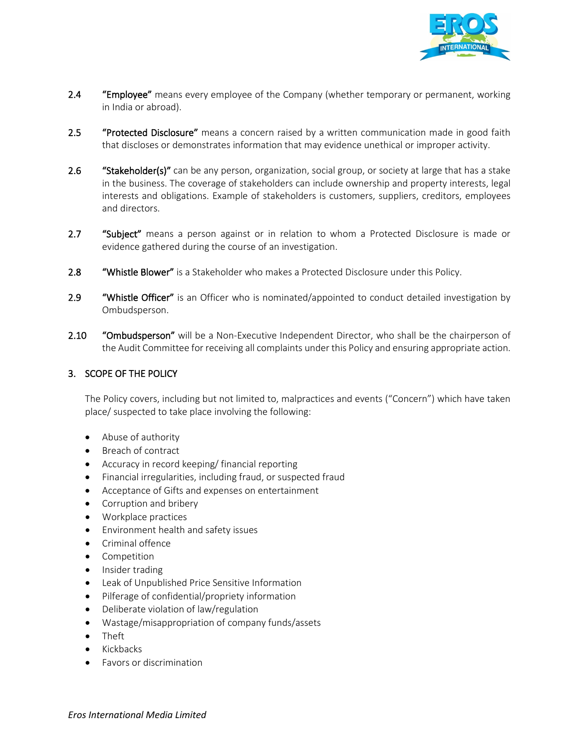

- 2.4 "Employee" means every employee of the Company (whether temporary or permanent, working in India or abroad).
- 2.5 "Protected Disclosure" means a concern raised by a written communication made in good faith that discloses or demonstrates information that may evidence unethical or improper activity.
- 2.6 "Stakeholder(s)" can be any person, organization, social group, or society at large that has a stake in the business. The coverage of stakeholders can include ownership and property interests, legal interests and obligations. Example of stakeholders is customers, suppliers, creditors, employees and directors.
- 2.7 "Subject" means a person against or in relation to whom a Protected Disclosure is made or evidence gathered during the course of an investigation.
- 2.8 "Whistle Blower" is a Stakeholder who makes a Protected Disclosure under this Policy.
- 2.9 "Whistle Officer" is an Officer who is nominated/appointed to conduct detailed investigation by Ombudsperson.
- 2.10 "Ombudsperson" will be a Non-Executive Independent Director, who shall be the chairperson of the Audit Committee for receiving all complaints under this Policy and ensuring appropriate action.

#### 3. SCOPE OF THE POLICY

The Policy covers, including but not limited to, malpractices and events ("Concern") which have taken place/ suspected to take place involving the following:

- Abuse of authority
- Breach of contract
- Accuracy in record keeping/ financial reporting
- Financial irregularities, including fraud, or suspected fraud
- Acceptance of Gifts and expenses on entertainment
- Corruption and bribery
- Workplace practices
- Environment health and safety issues
- Criminal offence
- Competition
- Insider trading
- Leak of Unpublished Price Sensitive Information
- Pilferage of confidential/propriety information
- Deliberate violation of law/regulation
- Wastage/misappropriation of company funds/assets
- Theft
- Kickbacks
- Favors or discrimination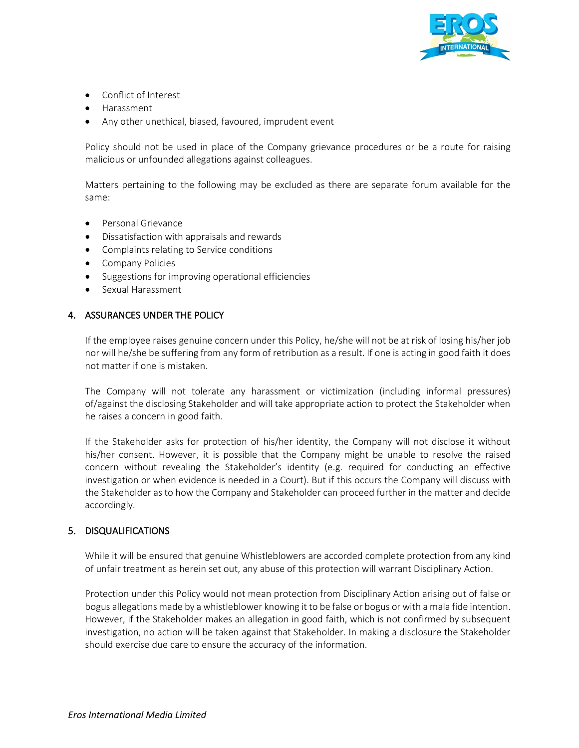

- Conflict of Interest
- Harassment
- Any other unethical, biased, favoured, imprudent event

Policy should not be used in place of the Company grievance procedures or be a route for raising malicious or unfounded allegations against colleagues.

Matters pertaining to the following may be excluded as there are separate forum available for the same:

- Personal Grievance
- Dissatisfaction with appraisals and rewards
- Complaints relating to Service conditions
- Company Policies
- Suggestions for improving operational efficiencies
- Sexual Harassment

#### 4. ASSURANCES UNDER THE POLICY

If the employee raises genuine concern under this Policy, he/she will not be at risk of losing his/her job nor will he/she be suffering from any form of retribution as a result. If one is acting in good faith it does not matter if one is mistaken.

The Company will not tolerate any harassment or victimization (including informal pressures) of/against the disclosing Stakeholder and will take appropriate action to protect the Stakeholder when he raises a concern in good faith.

If the Stakeholder asks for protection of his/her identity, the Company will not disclose it without his/her consent. However, it is possible that the Company might be unable to resolve the raised concern without revealing the Stakeholder's identity (e.g. required for conducting an effective investigation or when evidence is needed in a Court). But if this occurs the Company will discuss with the Stakeholder as to how the Company and Stakeholder can proceed further in the matter and decide accordingly.

#### 5. DISQUALIFICATIONS

While it will be ensured that genuine Whistleblowers are accorded complete protection from any kind of unfair treatment as herein set out, any abuse of this protection will warrant Disciplinary Action.

Protection under this Policy would not mean protection from Disciplinary Action arising out of false or bogus allegations made by a whistleblower knowing it to be false or bogus or with a mala fide intention. However, if the Stakeholder makes an allegation in good faith, which is not confirmed by subsequent investigation, no action will be taken against that Stakeholder. In making a disclosure the Stakeholder should exercise due care to ensure the accuracy of the information.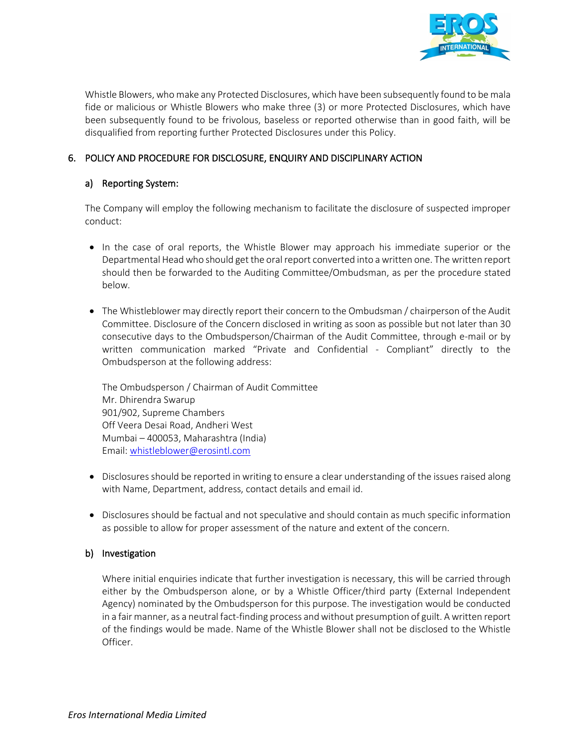

Whistle Blowers, who make any Protected Disclosures, which have been subsequently found to be mala fide or malicious or Whistle Blowers who make three (3) or more Protected Disclosures, which have been subsequently found to be frivolous, baseless or reported otherwise than in good faith, will be disqualified from reporting further Protected Disclosures under this Policy.

#### 6. POLICY AND PROCEDURE FOR DISCLOSURE, ENQUIRY AND DISCIPLINARY ACTION

#### a) Reporting System:

The Company will employ the following mechanism to facilitate the disclosure of suspected improper conduct:

- In the case of oral reports, the Whistle Blower may approach his immediate superior or the Departmental Head who should get the oral report converted into a written one. The written report should then be forwarded to the Auditing Committee/Ombudsman, as per the procedure stated below.
- The Whistleblower may directly report their concern to the Ombudsman / chairperson of the Audit Committee. Disclosure of the Concern disclosed in writing as soon as possible but not later than 30 consecutive days to the Ombudsperson/Chairman of the Audit Committee, through e-mail or by written communication marked "Private and Confidential - Compliant" directly to the Ombudsperson at the following address:

The Ombudsperson / Chairman of Audit Committee Mr. Dhirendra Swarup 901/902, Supreme Chambers Off Veera Desai Road, Andheri West Mumbai – 400053, Maharashtra (India) Email[: whistleblower@erosintl.com](mailto:whistleblower@erosintl.com)

- Disclosures should be reported in writing to ensure a clear understanding of the issues raised along with Name, Department, address, contact details and email id.
- Disclosures should be factual and not speculative and should contain as much specific information as possible to allow for proper assessment of the nature and extent of the concern.

#### b) Investigation

Where initial enquiries indicate that further investigation is necessary, this will be carried through either by the Ombudsperson alone, or by a Whistle Officer/third party (External Independent Agency) nominated by the Ombudsperson for this purpose. The investigation would be conducted in a fair manner, as a neutral fact-finding process and without presumption of guilt. A written report of the findings would be made. Name of the Whistle Blower shall not be disclosed to the Whistle Officer.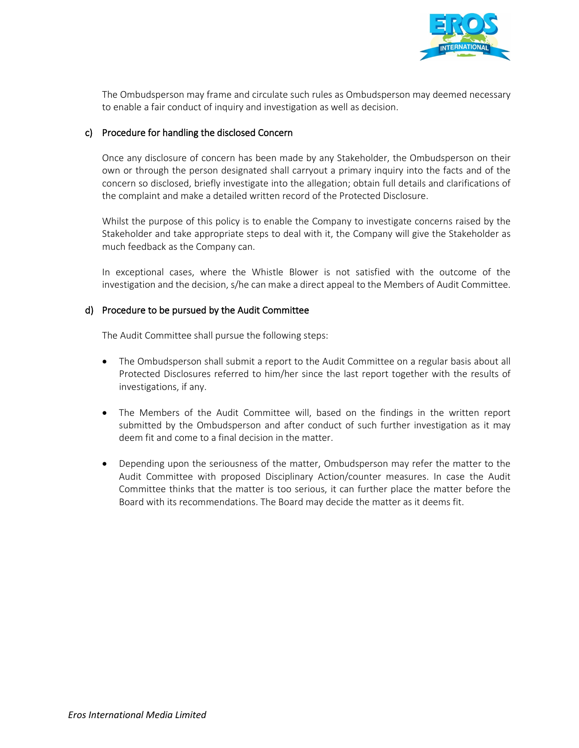

 The Ombudsperson may frame and circulate such rules as Ombudsperson may deemed necessary to enable a fair conduct of inquiry and investigation as well as decision.

#### c) Procedure for handling the disclosed Concern

Once any disclosure of concern has been made by any Stakeholder, the Ombudsperson on their own or through the person designated shall carryout a primary inquiry into the facts and of the concern so disclosed, briefly investigate into the allegation; obtain full details and clarifications of the complaint and make a detailed written record of the Protected Disclosure.

Whilst the purpose of this policy is to enable the Company to investigate concerns raised by the Stakeholder and take appropriate steps to deal with it, the Company will give the Stakeholder as much feedback as the Company can.

In exceptional cases, where the Whistle Blower is not satisfied with the outcome of the investigation and the decision, s/he can make a direct appeal to the Members of Audit Committee.

#### d) Procedure to be pursued by the Audit Committee

The Audit Committee shall pursue the following steps:

- The Ombudsperson shall submit a report to the Audit Committee on a regular basis about all Protected Disclosures referred to him/her since the last report together with the results of investigations, if any.
- The Members of the Audit Committee will, based on the findings in the written report submitted by the Ombudsperson and after conduct of such further investigation as it may deem fit and come to a final decision in the matter.
- Depending upon the seriousness of the matter, Ombudsperson may refer the matter to the Audit Committee with proposed Disciplinary Action/counter measures. In case the Audit Committee thinks that the matter is too serious, it can further place the matter before the Board with its recommendations. The Board may decide the matter as it deems fit.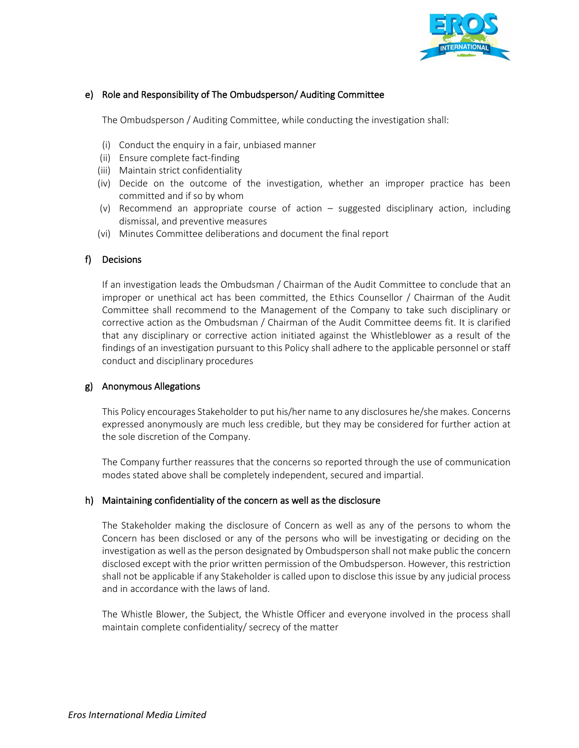

#### e) Role and Responsibility of The Ombudsperson/ Auditing Committee

The Ombudsperson / Auditing Committee, while conducting the investigation shall:

- (i) Conduct the enquiry in a fair, unbiased manner
- (ii) Ensure complete fact-finding
- (iii) Maintain strict confidentiality
- (iv) Decide on the outcome of the investigation, whether an improper practice has been committed and if so by whom
- (v) Recommend an appropriate course of action suggested disciplinary action, including dismissal, and preventive measures
- (vi) Minutes Committee deliberations and document the final report

#### f) Decisions

If an investigation leads the Ombudsman / Chairman of the Audit Committee to conclude that an improper or unethical act has been committed, the Ethics Counsellor / Chairman of the Audit Committee shall recommend to the Management of the Company to take such disciplinary or corrective action as the Ombudsman / Chairman of the Audit Committee deems fit. It is clarified that any disciplinary or corrective action initiated against the Whistleblower as a result of the findings of an investigation pursuant to this Policy shall adhere to the applicable personnel or staff conduct and disciplinary procedures

#### g) Anonymous Allegations

This Policy encourages Stakeholder to put his/her name to any disclosures he/she makes. Concerns expressed anonymously are much less credible, but they may be considered for further action at the sole discretion of the Company.

The Company further reassures that the concerns so reported through the use of communication modes stated above shall be completely independent, secured and impartial.

#### h) Maintaining confidentiality of the concern as well as the disclosure

The Stakeholder making the disclosure of Concern as well as any of the persons to whom the Concern has been disclosed or any of the persons who will be investigating or deciding on the investigation as well as the person designated by Ombudsperson shall not make public the concern disclosed except with the prior written permission of the Ombudsperson. However, this restriction shall not be applicable if any Stakeholder is called upon to disclose this issue by any judicial process and in accordance with the laws of land.

The Whistle Blower, the Subject, the Whistle Officer and everyone involved in the process shall maintain complete confidentiality/ secrecy of the matter